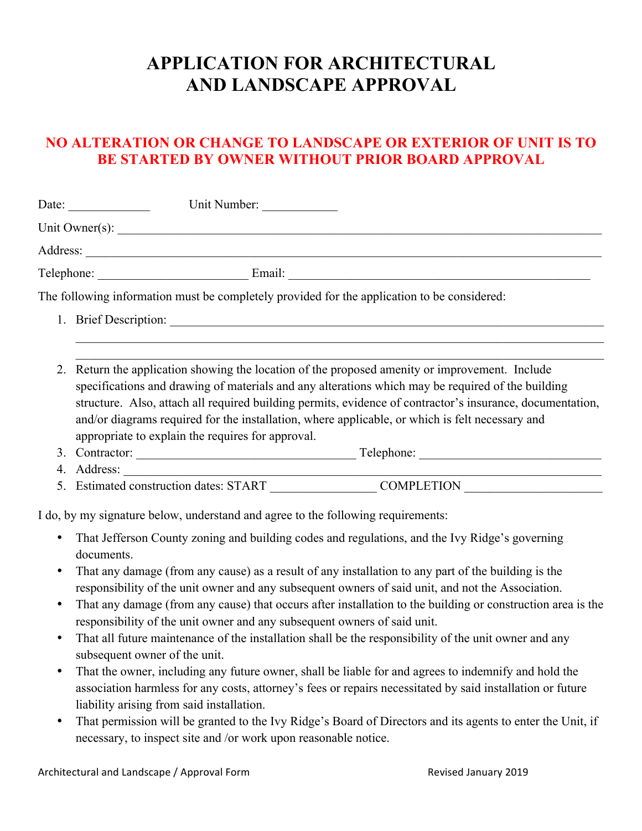## **APPLICATION FOR ARCHITECTURAL AND LANDSCAPE APPROVAL**

## **NO ALTERATION OR CHANGE TO LANDSCAPE OR EXTERIOR OF UNIT IS TO BE STARTED BY OWNER WITHOUT PRIOR BOARD APPROVAL**

|                        | Unit Number:<br>Date: $\frac{1}{\sqrt{1-\frac{1}{2}} \cdot \frac{1}{2}}$                                                                                                                                                                                                                                                                                                                                                                |
|------------------------|-----------------------------------------------------------------------------------------------------------------------------------------------------------------------------------------------------------------------------------------------------------------------------------------------------------------------------------------------------------------------------------------------------------------------------------------|
|                        |                                                                                                                                                                                                                                                                                                                                                                                                                                         |
|                        |                                                                                                                                                                                                                                                                                                                                                                                                                                         |
|                        |                                                                                                                                                                                                                                                                                                                                                                                                                                         |
|                        | The following information must be completely provided for the application to be considered:                                                                                                                                                                                                                                                                                                                                             |
|                        |                                                                                                                                                                                                                                                                                                                                                                                                                                         |
|                        |                                                                                                                                                                                                                                                                                                                                                                                                                                         |
|                        | 2. Return the application showing the location of the proposed amenity or improvement. Include<br>specifications and drawing of materials and any alterations which may be required of the building<br>structure. Also, attach all required building permits, evidence of contractor's insurance, documentation,<br>and/or diagrams required for the installation, where applicable, or which is felt necessary and                     |
|                        | appropriate to explain the requires for approval.                                                                                                                                                                                                                                                                                                                                                                                       |
|                        |                                                                                                                                                                                                                                                                                                                                                                                                                                         |
|                        | <u> 1989 - Johann Barbara, martxa alemaniar a</u><br>5. Estimated construction dates: START COMPLETION                                                                                                                                                                                                                                                                                                                                  |
|                        | I do, by my signature below, understand and agree to the following requirements:                                                                                                                                                                                                                                                                                                                                                        |
| $\bullet$<br>$\bullet$ | That Jefferson County zoning and building codes and regulations, and the Ivy Ridge's governing<br>documents.<br>That any damage (from any cause) as a result of any installation to any part of the building is the<br>responsibility of the unit owner and any subsequent owners of said unit, and not the Association.<br>That any damage (from any cause) that occurs after installation to the building or construction area is the |
|                        | responsibility of the unit owner and any subsequent owners of said unit.                                                                                                                                                                                                                                                                                                                                                                |
|                        | That all future maintenance of the installation shall be the responsibility of the unit owner and any<br>subsequent owner of the unit.                                                                                                                                                                                                                                                                                                  |
| $\bullet$              | That the owner, including any future owner, shall be liable for and agrees to indemnify and hold the<br>association harmless for any costs, attorney's fees or repairs necessitated by said installation or future<br>liability arising from said installation.                                                                                                                                                                         |
|                        | That no uniquiar will be opented to the Iyy Didge's Deand of Dinastons and its coants to opten the Unit if                                                                                                                                                                                                                                                                                                                              |

• That permission will be granted to the Ivy Ridge's Board of Directors and its agents to enter the Unit, if necessary, to inspect site and /or work upon reasonable notice.